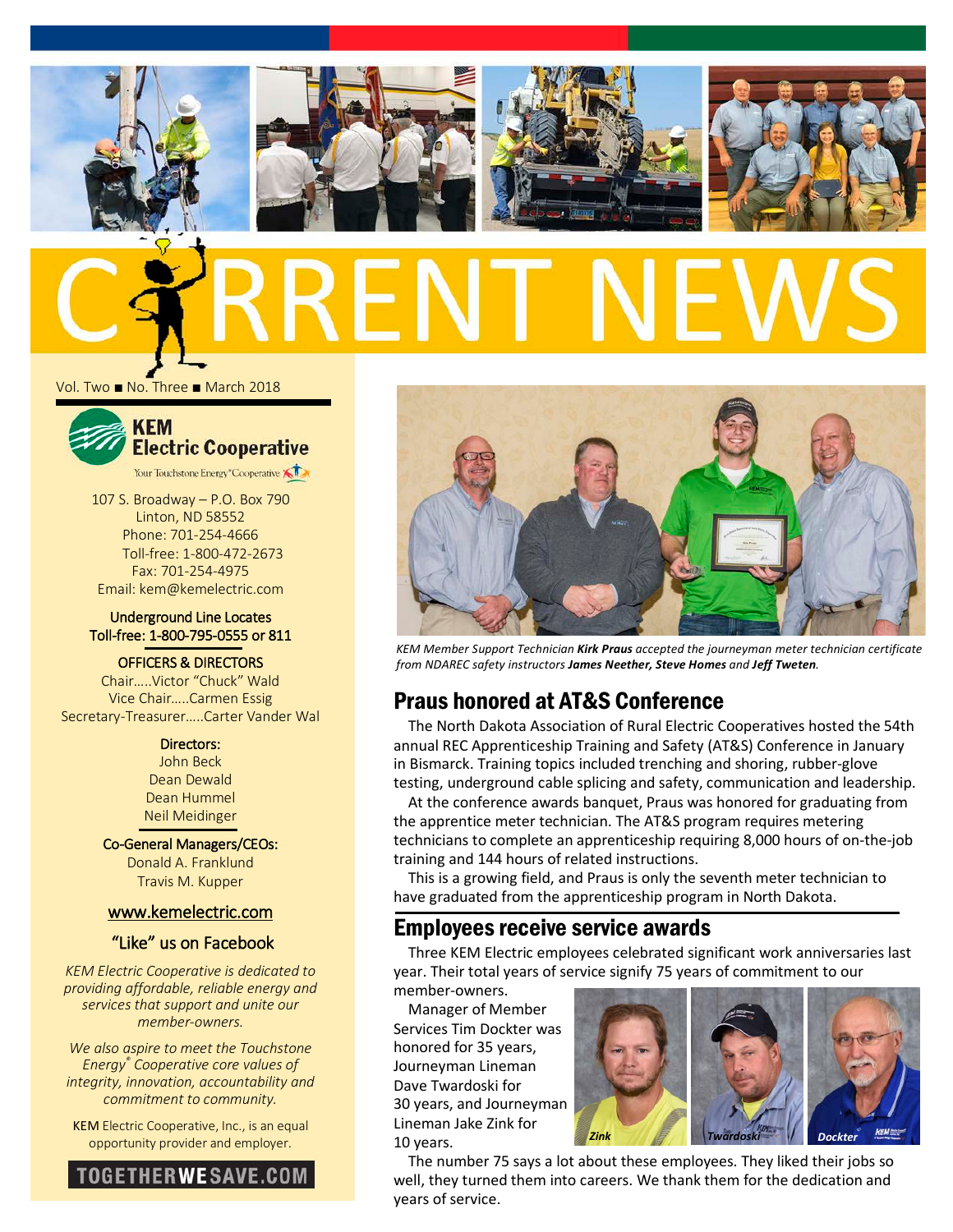







Vol. Two ■ No. Three ■ March 2018



107 S. Broadway – P.O. Box 790 Linton, ND 58552 Phone: 701-254-4666 Toll-free: 1-800-472-2673 Fax: 701-254-4975 Email: kem@kemelectric.com

#### Underground Line Locates Toll-free: 1-800-795-0555 or 811

OFFICERS & DIRECTORS

Chair…..Victor "Chuck" Wald Vice Chair…..Carmen Essig Secretary-Treasurer…..Carter Vander Wal

Directors:

John Beck Dean Dewald Dean Hummel Neil Meidinger

Co-General Managers/CEOs: Donald A. Franklund Travis M. Kupper

## [www.kemelectric.com](http://www.kemelectric.com/)

## "Like" us on Facebook

*KEM Electric Cooperative is dedicated to providing affordable, reliable energy and services that support and unite our member-owners.*

*We also aspire to meet the Touchstone Energy® Cooperative core values of integrity, innovation, accountability and commitment to community.*

KEM Electric Cooperative, Inc., is an equal opportunity provider and employer.





*KEM Member Support Technician Kirk Praus accepted the journeyman meter technician certificate from NDAREC safety instructors James Neether, Steve Homes and Jeff Tweten.*

# Praus honored at AT&S Conference

The North Dakota Association of Rural Electric Cooperatives hosted the 54th annual REC Apprenticeship Training and Safety (AT&S) Conference in January in Bismarck. Training topics included trenching and shoring, rubber-glove testing, underground cable splicing and safety, communication and leadership.

At the conference awards banquet, Praus was honored for graduating from the apprentice meter technician. The AT&S program requires metering technicians to complete an apprenticeship requiring 8,000 hours of on-the-job training and 144 hours of related instructions.

This is a growing field, and Praus is only the seventh meter technician to have graduated from the apprenticeship program in North Dakota.

## Employees receive service awards

Three KEM Electric employees celebrated significant work anniversaries last year. Their total years of service signify 75 years of commitment to our

member-owners. Manager of Member Services Tim Dockter was honored for 35 years, Journeyman Lineman Dave Twardoski for 30 years, and Journeyman Lineman Jake Zink for 10 years.



The number 75 says a lot about these employees. They liked their jobs so well, they turned them into careers. We thank them for the dedication and years of service.